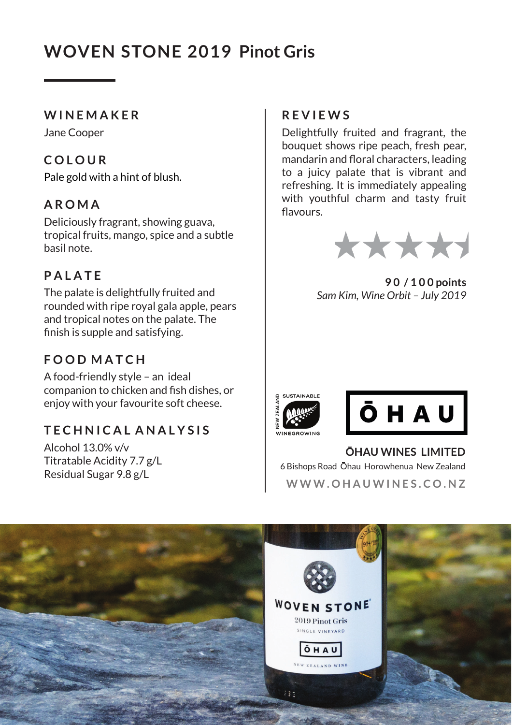# **WOVEN STONE 2019 Pinot Gris**

#### **W I N E M A K E R**

Jane Cooper

# **C O L O U R**

Pale gold with a hint of blush.

## **A R O M A**

Deliciously fragrant, showing guava, tropical fruits, mango, spice and a subtle basil note.

# **P A L A T E**

The palate is delightfully fruited and rounded with ripe royal gala apple, pears and tropical notes on the palate. The finish is supple and satisfying.

# **F O O D M A T C H**

A food-friendly style – an ideal companion to chicken and fish dishes, or enjoy with your favourite soft cheese.

## **T E C H N I C A L A N A L Y S I S**

Alcohol 13.0% v/v Titratable Acidity 7.7 g/L Residual Sugar 9.8 g/L

### **R E V I E W S**

Delightfully fruited and fragrant, the bouquet shows ripe peach, fresh pear, mandarin and floral characters, leading to a juicy palate that is vibrant and refreshing. It is immediately appealing with youthful charm and tasty fruit flavours



**9 0 / 1 0 0 points** *Sam Kim, Wine Orbit – July 2019*





**OHAU WINES LIMITED** 6 Bishops Road Ohau Horowhenua New Zealand **W W W . O H A U W I N E S . C O . N Z**